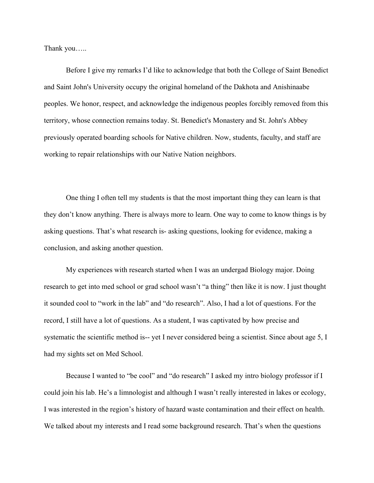Thank you…..

Before I give my remarks I'd like to acknowledge that both the College of Saint Benedict and Saint John's University occupy the original homeland of the Dakhota and Anishinaabe peoples. We honor, respect, and acknowledge the indigenous peoples forcibly removed from this territory, whose connection remains today. St. Benedict's Monastery and St. John's Abbey previously operated boarding schools for Native children. Now, students, faculty, and staff are working to repair relationships with our Native Nation neighbors.

One thing I often tell my students is that the most important thing they can learn is that they don't know anything. There is always more to learn. One way to come to know things is by asking questions. That's what research is- asking questions, looking for evidence, making a conclusion, and asking another question.

My experiences with research started when I was an undergad Biology major. Doing research to get into med school or grad school wasn't "a thing" then like it is now. I just thought it sounded cool to "work in the lab" and "do research". Also, I had a lot of questions. For the record, I still have a lot of questions. As a student, I was captivated by how precise and systematic the scientific method is-- yet I never considered being a scientist. Since about age 5, I had my sights set on Med School.

Because I wanted to "be cool" and "do research" I asked my intro biology professor if I could join his lab. He's a limnologist and although I wasn't really interested in lakes or ecology, I was interested in the region's history of hazard waste contamination and their effect on health. We talked about my interests and I read some background research. That's when the questions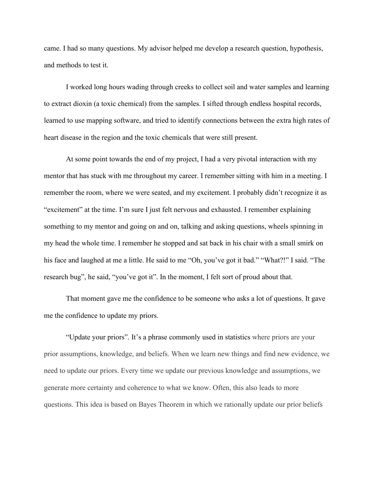came. I had so many questions. My advisor helped me develop a research question, hypothesis, and methods to test it.

I worked long hours wading through creeks to collect soil and water samples and learning to extract dioxin (a toxic chemical) from the samples. I sifted through endless hospital records, learned to use mapping software, and tried to identify connections between the extra high rates of heart disease in the region and the toxic chemicals that were still present.

At some point towards the end of my project, I had a very pivotal interaction with my mentor that has stuck with me throughout my career. I remember sitting with him in a meeting. I remember the room, where we were seated, and my excitement. I probably didn't recognize it as "excitement" at the time. I'm sure I just felt nervous and exhausted. I remember explaining something to my mentor and going on and on, talking and asking questions, wheels spinning in my head the whole time. I remember he stopped and sat back in his chair with a small smirk on his face and laughed at me a little. He said to me "Oh, you've got it bad." "What?!" I said. "The research bug", he said, "you've got it". In the moment, I felt sort of proud about that.

That moment gave me the confidence to be someone who asks a lot of questions. It gave me the confidence to update my priors.

"Update your priors". It's a phrase commonly used in statistics where priors are your prior assumptions, knowledge, and beliefs. When we learn new things and find new evidence, we need to update our priors. Every time we update our previous knowledge and assumptions, we generate more certainty and coherence to what we know. Often, this also leads to more questions. This idea is based on Bayes Theorem in which we rationally update our prior beliefs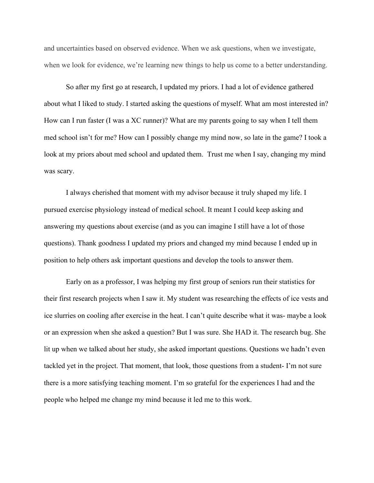and uncertainties based on observed evidence. When we ask questions, when we investigate, when we look for evidence, we're learning new things to help us come to a better understanding.

So after my first go at research, I updated my priors. I had a lot of evidence gathered about what I liked to study. I started asking the questions of myself. What am most interested in? How can I run faster (I was a XC runner)? What are my parents going to say when I tell them med school isn't for me? How can I possibly change my mind now, so late in the game? I took a look at my priors about med school and updated them. Trust me when I say, changing my mind was scary.

I always cherished that moment with my advisor because it truly shaped my life. I pursued exercise physiology instead of medical school. It meant I could keep asking and answering my questions about exercise (and as you can imagine I still have a lot of those questions). Thank goodness I updated my priors and changed my mind because I ended up in position to help others ask important questions and develop the tools to answer them.

Early on as a professor, I was helping my first group of seniors run their statistics for their first research projects when I saw it. My student was researching the effects of ice vests and ice slurries on cooling after exercise in the heat. I can't quite describe what it was- maybe a look or an expression when she asked a question? But I was sure. She HAD it. The research bug. She lit up when we talked about her study, she asked important questions. Questions we hadn't even tackled yet in the project. That moment, that look, those questions from a student- I'm not sure there is a more satisfying teaching moment. I'm so grateful for the experiences I had and the people who helped me change my mind because it led me to this work.